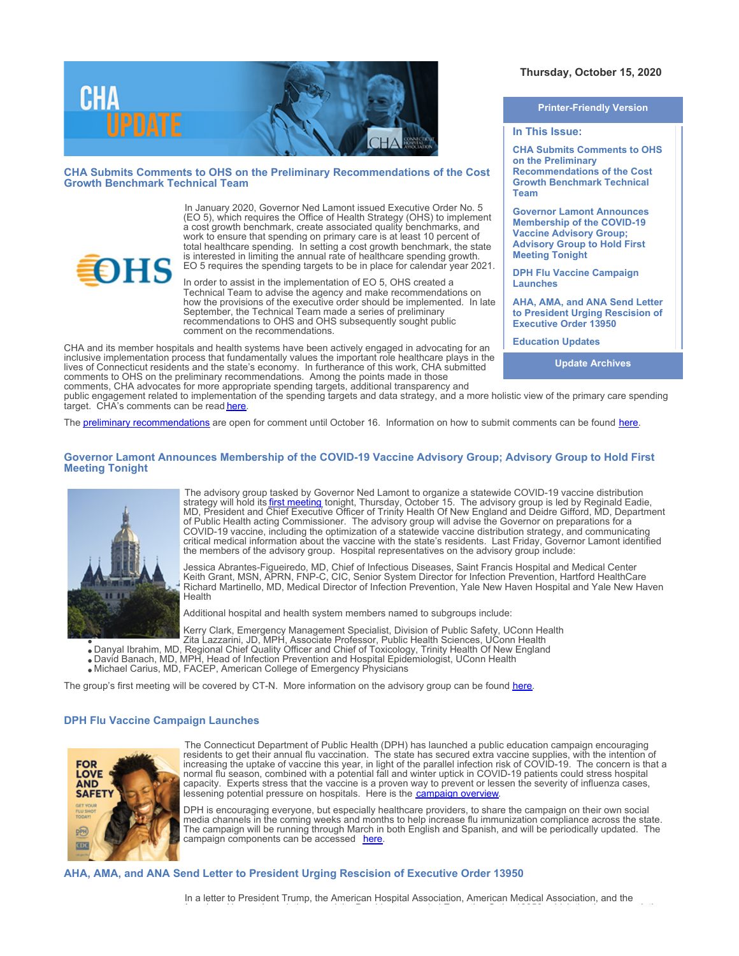

**CHA Submits Comments to OHS on the Preliminary Recommendations of the Cost Growth Benchmark Technical Team** 

> In January 2020, Governor Ned Lamont issued Executive Order No. 5 (EO 5), which requires the Office of Health Strategy (OHS) to implement a cost growth benchmark, create associated quality benchmarks, and work to ensure that spending on primary care is at least 10 percent of total healthcare spending. In setting a cost growth benchmark, the state is interested in limiting the annual rate of healthcare spending growth. EO 5 requires the spending targets to be in place for calendar year 2021.

> In order to assist in the implementation of EO 5, OHS created a Technical Team to advise the agency and make recommendations on how the provisions of the executive order should be implemented. In late September, the Technical Team made a series of preliminary recommendations to OHS and OHS subsequently sought public comment on the recommendations.

CHA and its member hospitals and health systems have been actively engaged in advocating for an inclusive implementation process that fundamentally values the important role healthcare plays in the lives of Connecticut residents and the state's economy. In furtherance of this work, CHA submitted comments to OHS on the preliminary recommendations. Among the points made in those comments, CHA advocates for more appropriate spending targets, additional transparency and

# **Thursday, October 15, 2020**

**Printer-Friendly Version**

#### **In This Issue:**

**CHA Submits Comments to OHS on the Preliminary Recommendations of the Cost Growth Benchmark Technical Team** 

**Governor Lamont Announces Membership of the COVID-19 Vaccine Advisory Group; Advisory Group to Hold First Meeting Tonight**

**DPH Flu Vaccine Campaign Launches**

**AHA, AMA, and ANA Send Letter to President Urging Rescision of Executive Order 13950**

**Education Updates**

**Update Archives**

public engagement related to implementation of the spending targets and data strategy, and a more holistic view of the primary care spending target. CHA's comments can be read [here](https://documents.cthosp.org/9/Lori/CGB Preliminary Recommendations CHA Letter %28final%29 10.15.2020.pdf).

The [preliminary recommendations](https://portal.ct.gov/-/media/OHS/Cost-Growth-Benchmark/CT-OHS-Technical-Team-Recommendations-Report_September-2020.pdf) are open for comment until October 16. Information on how to submit comments can be found [here](https://portal.ct.gov/-/media/OHS/Cost-Growth-Benchmark/Request-for-Comment.pdf).

#### **Governor Lamont Announces Membership of the COVID-19 Vaccine Advisory Group; Advisory Group to Hold First Meeting Tonight**



**HS** 

The advisory group tasked by Governor Ned Lamont to organize a statewide COVID-19 vaccine distribution strategy will hold its <u>first meeting</u> tonight, Thursday, October 15. The advisory group is led by Reginald Eadie, MD, President and Chief Executive Officer of Trinity Health Of New England and Deidre Gifford, MD, Department of Public Health acting Commissioner. The advisory group will advise the Governor on preparations for a COVID-19 vaccine, including the optimization of a statewide vaccine distribution strategy, and communicating critical medical information about the vaccine with the state's residents. Last Friday, Governor Lamont identified the members of the advisory group. Hospital representatives on the advisory group include:

Jessica Abrantes-Figueiredo, MD, Chief of Infectious Diseases, Saint Francis Hospital and Medical Center Keith Grant, MSN, APRN, FNP-C, CIC, Senior System Director for Infection Prevention, Hartford HealthCare Richard Martinello, MD, Medical Director of Infection Prevention, Yale New Haven Hospital and Yale New Haven Health

Additional hospital and health system members named to subgroups include:

Kerry Clark, Emergency Management Specialist, Division of Public Safety, UConn Health

Zita Lazzarini, JD, MPH, Associate Professor, Public Health Sciences, UConn Health

- Danyal Ibrahim, MD, Regional Chief Quality Officer and Chief of Toxicology, Trinity Health Of New England
- David Banach, MD, MPH, Head of Infection Prevention and Hospital Epidemiologist, UConn Health Michael Carius, MD, FACEP, American College of Emergency Physicians
- 

The group's first meeting will be covered by CT-N. More information on the advisory group can be found [here](https://portal.ct.gov/Office-of-the-Governor/News/Press-Releases/2020/10-2020/Governor-Lamont-Announces-Membership-of-the-COVID-19-Vaccine-Advisory-Group).

# **DPH Flu Vaccine Campaign Launches**



The Connecticut Department of Public Health (DPH) has launched a public education campaign encouraging residents to get their annual flu vaccination. The state has secured extra vaccine supplies, with the intention of increasing the uptake of vaccine this year, in light of the parallel infection risk of COVID-19. The concern is that a normal flu season, combined with a potential fall and winter uptick in COVID-19 patients could stress hospital capacity. Experts stress that the vaccine is a proven way to prevent or lessen the severity of influenza cases, lessening potential pressure on hospitals. Here is the [campaign overview](https://documents.cthosp.org/9/Lori/CT%20DPH%20-%20Flu%20Vaccine%20Hospital%20Outreach%20101420.pdf).

DPH is encouraging everyone, but especially healthcare providers, to share the campaign on their own social media channels in the coming weeks and months to help increase flu immunization compliance across the state. The campaign will be running through March in both English and Spanish, and will be periodically updated. The campaign components can be accessed [here](https://odonnellco.com/flu2020).

# **AHA, AMA, and ANA Send Letter to President Urging Rescision of Executive Order 13950**